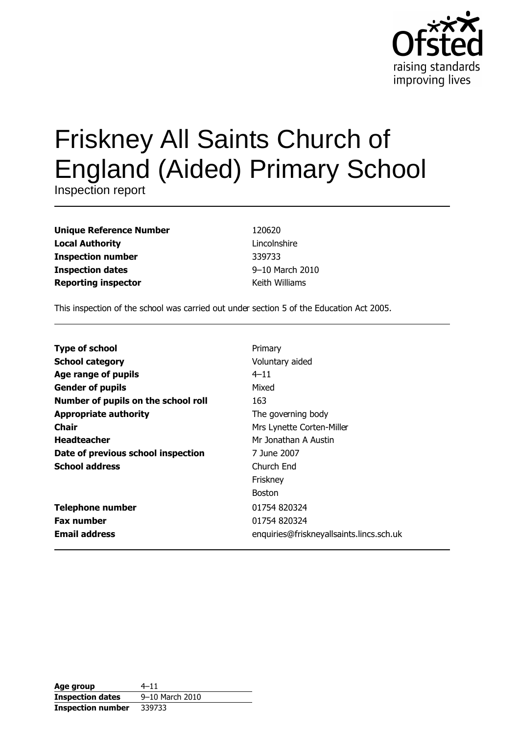

# Friskney All Saints Church of **England (Aided) Primary School**

Inspection report

| <b>Unique Reference Number</b> |
|--------------------------------|
| <b>Local Authority</b>         |
| <b>Inspection number</b>       |
| <b>Inspection dates</b>        |
| <b>Reporting inspector</b>     |

120620 Lincolnshire 339733 9-10 March 2010 Keith Williams

This inspection of the school was carried out under section 5 of the Education Act 2005.

| <b>Type of school</b>               | Primary                                  |
|-------------------------------------|------------------------------------------|
| <b>School category</b>              | Voluntary aided                          |
| Age range of pupils                 | $4 - 11$                                 |
| <b>Gender of pupils</b>             | Mixed                                    |
| Number of pupils on the school roll | 163                                      |
| <b>Appropriate authority</b>        | The governing body                       |
| Chair                               | Mrs Lynette Corten-Miller                |
| <b>Headteacher</b>                  | Mr Jonathan A Austin                     |
| Date of previous school inspection  | 7 June 2007                              |
| <b>School address</b>               | Church End                               |
|                                     | Friskney                                 |
|                                     | <b>Boston</b>                            |
| <b>Telephone number</b>             | 01754 820324                             |
| <b>Fax number</b>                   | 01754 820324                             |
| <b>Email address</b>                | enquiries@friskneyallsaints.lincs.sch.uk |

| Age group                | $4 - 11$        |
|--------------------------|-----------------|
| <b>Inspection dates</b>  | 9-10 March 2010 |
| <b>Inspection number</b> | 339733          |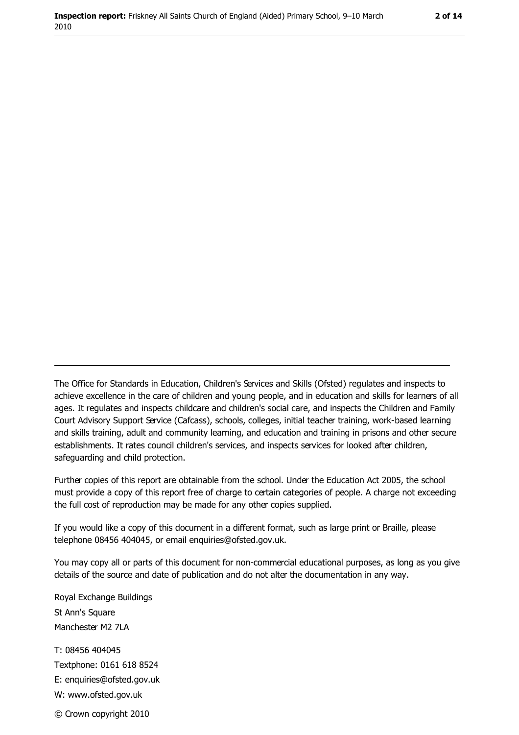The Office for Standards in Education, Children's Services and Skills (Ofsted) regulates and inspects to achieve excellence in the care of children and young people, and in education and skills for learners of all ages. It regulates and inspects childcare and children's social care, and inspects the Children and Family Court Advisory Support Service (Cafcass), schools, colleges, initial teacher training, work-based learning and skills training, adult and community learning, and education and training in prisons and other secure establishments. It rates council children's services, and inspects services for looked after children, safequarding and child protection.

Further copies of this report are obtainable from the school. Under the Education Act 2005, the school must provide a copy of this report free of charge to certain categories of people. A charge not exceeding the full cost of reproduction may be made for any other copies supplied.

If you would like a copy of this document in a different format, such as large print or Braille, please telephone 08456 404045, or email enquiries@ofsted.gov.uk.

You may copy all or parts of this document for non-commercial educational purposes, as long as you give details of the source and date of publication and do not alter the documentation in any way.

Royal Exchange Buildings St Ann's Square Manchester M2 7LA T: 08456 404045 Textphone: 0161 618 8524 E: enquiries@ofsted.gov.uk W: www.ofsted.gov.uk © Crown copyright 2010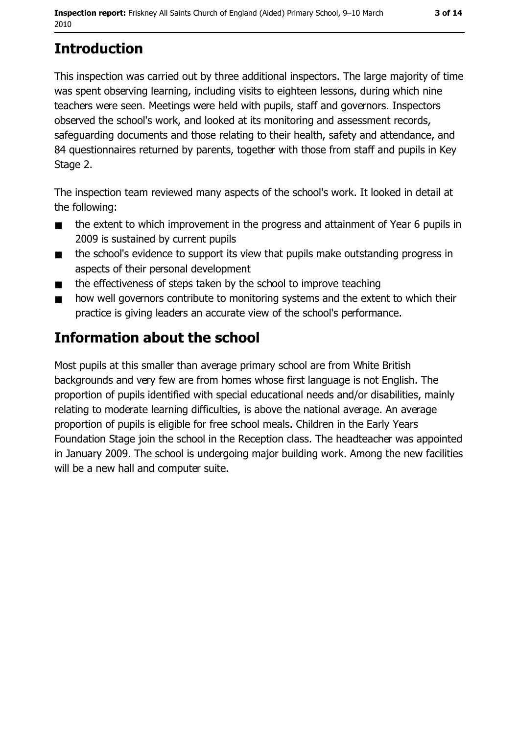# **Introduction**

This inspection was carried out by three additional inspectors. The large majority of time was spent observing learning, including visits to eighteen lessons, during which nine teachers were seen. Meetings were held with pupils, staff and governors. Inspectors observed the school's work, and looked at its monitoring and assessment records, safeguarding documents and those relating to their health, safety and attendance, and 84 questionnaires returned by parents, together with those from staff and pupils in Key Stage 2.

The inspection team reviewed many aspects of the school's work. It looked in detail at the following:

- the extent to which improvement in the progress and attainment of Year 6 pupils in  $\blacksquare$ 2009 is sustained by current pupils
- the school's evidence to support its view that pupils make outstanding progress in  $\blacksquare$ aspects of their personal development
- the effectiveness of steps taken by the school to improve teaching  $\blacksquare$
- how well governors contribute to monitoring systems and the extent to which their  $\blacksquare$ practice is giving leaders an accurate view of the school's performance.

# Information about the school

Most pupils at this smaller than average primary school are from White British backgrounds and very few are from homes whose first language is not English. The proportion of pupils identified with special educational needs and/or disabilities, mainly relating to moderate learning difficulties, is above the national average. An average proportion of pupils is eligible for free school meals. Children in the Early Years Foundation Stage join the school in the Reception class. The headteacher was appointed in January 2009. The school is undergoing major building work. Among the new facilities will be a new hall and computer suite.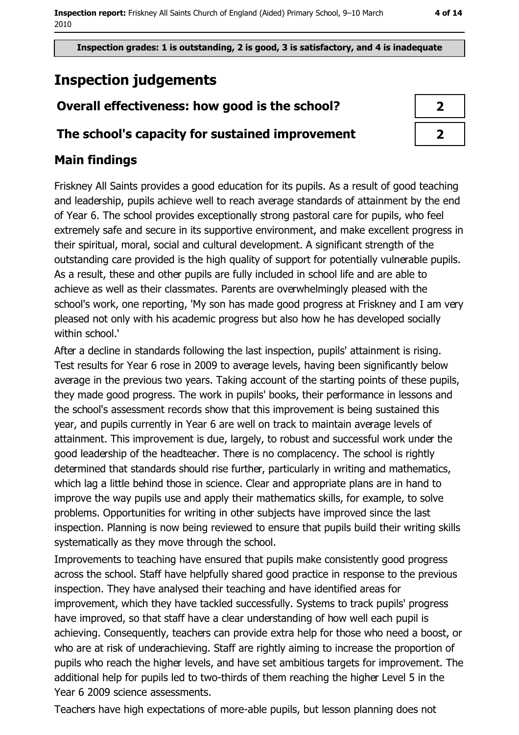Inspection grades: 1 is outstanding, 2 is good, 3 is satisfactory, and 4 is inadequate

# **Inspection judgements**

## Overall effectiveness: how good is the school?

#### The school's capacity for sustained improvement

## **Main findings**

Friskney All Saints provides a good education for its pupils. As a result of good teaching and leadership, pupils achieve well to reach average standards of attainment by the end of Year 6. The school provides exceptionally strong pastoral care for pupils, who feel extremely safe and secure in its supportive environment, and make excellent progress in their spiritual, moral, social and cultural development. A significant strength of the outstanding care provided is the high quality of support for potentially vulnerable pupils. As a result, these and other pupils are fully included in school life and are able to achieve as well as their classmates. Parents are overwhelmingly pleased with the school's work, one reporting, 'My son has made good progress at Friskney and I am very pleased not only with his academic progress but also how he has developed socially within school.'

After a decline in standards following the last inspection, pupils' attainment is rising. Test results for Year 6 rose in 2009 to average levels, having been significantly below average in the previous two years. Taking account of the starting points of these pupils, they made good progress. The work in pupils' books, their performance in lessons and the school's assessment records show that this improvement is being sustained this year, and pupils currently in Year 6 are well on track to maintain average levels of attainment. This improvement is due, largely, to robust and successful work under the good leadership of the headteacher. There is no complacency. The school is rightly determined that standards should rise further, particularly in writing and mathematics, which lag a little behind those in science. Clear and appropriate plans are in hand to improve the way pupils use and apply their mathematics skills, for example, to solve problems. Opportunities for writing in other subjects have improved since the last inspection. Planning is now being reviewed to ensure that pupils build their writing skills systematically as they move through the school.

Improvements to teaching have ensured that pupils make consistently good progress across the school. Staff have helpfully shared good practice in response to the previous inspection. They have analysed their teaching and have identified areas for improvement, which they have tackled successfully. Systems to track pupils' progress have improved, so that staff have a clear understanding of how well each pupil is achieving. Consequently, teachers can provide extra help for those who need a boost, or who are at risk of underachieving. Staff are rightly aiming to increase the proportion of pupils who reach the higher levels, and have set ambitious targets for improvement. The additional help for pupils led to two-thirds of them reaching the higher Level 5 in the Year 6 2009 science assessments.

Teachers have high expectations of more-able pupils, but lesson planning does not

| 1 |  |
|---|--|
|   |  |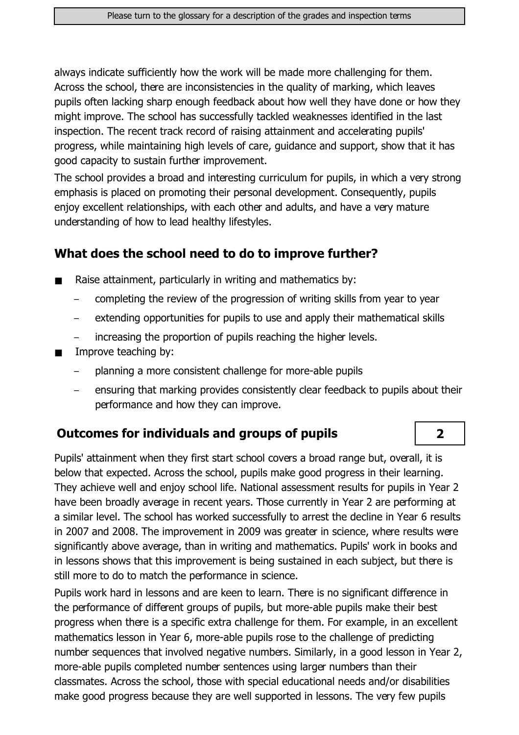always indicate sufficiently how the work will be made more challenging for them. Across the school, there are inconsistencies in the quality of marking, which leaves pupils often lacking sharp enough feedback about how well they have done or how they might improve. The school has successfully tackled weaknesses identified in the last inspection. The recent track record of raising attainment and accelerating pupils' progress, while maintaining high levels of care, guidance and support, show that it has good capacity to sustain further improvement.

The school provides a broad and interesting curriculum for pupils, in which a very strong emphasis is placed on promoting their personal development. Consequently, pupils enjoy excellent relationships, with each other and adults, and have a very mature understanding of how to lead healthy lifestyles.

#### What does the school need to do to improve further?

- Raise attainment, particularly in writing and mathematics by:  $\blacksquare$ 
	- completing the review of the progression of writing skills from year to year
	- extending opportunities for pupils to use and apply their mathematical skills
	- increasing the proportion of pupils reaching the higher levels.
- Improve teaching by:  $\blacksquare$ 
	- planning a more consistent challenge for more-able pupils
	- ensuring that marking provides consistently clear feedback to pupils about their performance and how they can improve.

 $\overline{2}$ 

#### **Outcomes for individuals and groups of pupils**

Pupils' attainment when they first start school covers a broad range but, overall, it is below that expected. Across the school, pupils make good progress in their learning. They achieve well and enjoy school life. National assessment results for pupils in Year 2 have been broadly average in recent years. Those currently in Year 2 are performing at a similar level. The school has worked successfully to arrest the decline in Year 6 results in 2007 and 2008. The improvement in 2009 was greater in science, where results were significantly above average, than in writing and mathematics. Pupils' work in books and in lessons shows that this improvement is being sustained in each subject, but there is still more to do to match the performance in science.

Pupils work hard in lessons and are keen to learn. There is no significant difference in the performance of different groups of pupils, but more-able pupils make their best progress when there is a specific extra challenge for them. For example, in an excellent mathematics lesson in Year 6, more-able pupils rose to the challenge of predicting number sequences that involved negative numbers. Similarly, in a good lesson in Year 2, more-able pupils completed number sentences using larger numbers than their classmates. Across the school, those with special educational needs and/or disabilities make good progress because they are well supported in lessons. The very few pupils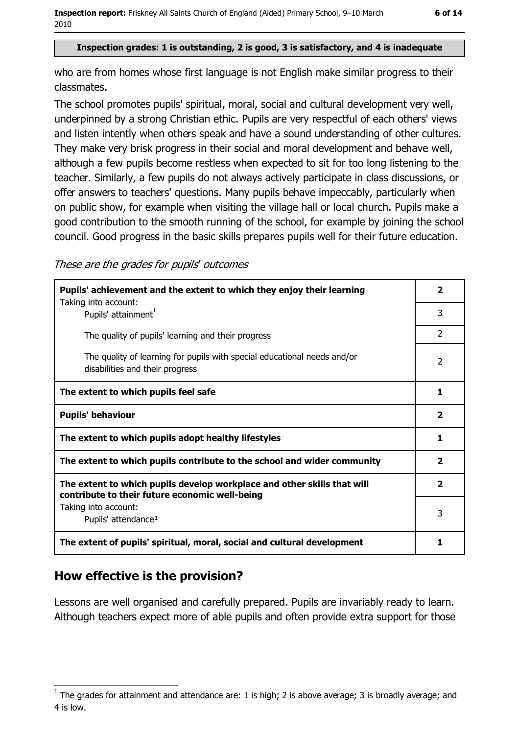Inspection report: Friskney All Saints Church of England (Aided) Primary School, 9-10 March 2010

#### Inspection grades: 1 is outstanding, 2 is good, 3 is satisfactory, and 4 is inadequate

who are from homes whose first language is not English make similar progress to their classmates.

The school promotes pupils' spiritual, moral, social and cultural development very well, underpinned by a strong Christian ethic. Pupils are very respectful of each others' views and listen intently when others speak and have a sound understanding of other cultures. They make very brisk progress in their social and moral development and behave well, although a few pupils become restless when expected to sit for too long listening to the teacher. Similarly, a few pupils do not always actively participate in class discussions, or offer answers to teachers' questions. Many pupils behave impeccably, particularly when on public show, for example when visiting the village hall or local church. Pupils make a good contribution to the smooth running of the school, for example by joining the school council. Good progress in the basic skills prepares pupils well for their future education.

These are the grades for pupils' outcomes

| Pupils' achievement and the extent to which they enjoy their learning                                                     |                |  |  |
|---------------------------------------------------------------------------------------------------------------------------|----------------|--|--|
| Taking into account:<br>Pupils' attainment <sup>1</sup>                                                                   | 3              |  |  |
| The quality of pupils' learning and their progress                                                                        | $\overline{2}$ |  |  |
| The quality of learning for pupils with special educational needs and/or<br>disabilities and their progress               |                |  |  |
| The extent to which pupils feel safe                                                                                      | 1              |  |  |
| <b>Pupils' behaviour</b>                                                                                                  | $\overline{2}$ |  |  |
| The extent to which pupils adopt healthy lifestyles                                                                       | 1              |  |  |
| The extent to which pupils contribute to the school and wider community                                                   |                |  |  |
| The extent to which pupils develop workplace and other skills that will<br>contribute to their future economic well-being | $\mathbf{2}$   |  |  |
| Taking into account:                                                                                                      | 3              |  |  |
| Pupils' attendance <sup>1</sup>                                                                                           |                |  |  |
| The extent of pupils' spiritual, moral, social and cultural development                                                   | 1              |  |  |

#### How effective is the provision?

Lessons are well organised and carefully prepared. Pupils are invariably ready to learn. Although teachers expect more of able pupils and often provide extra support for those

The grades for attainment and attendance are: 1 is high; 2 is above average; 3 is broadly average; and 4 is low.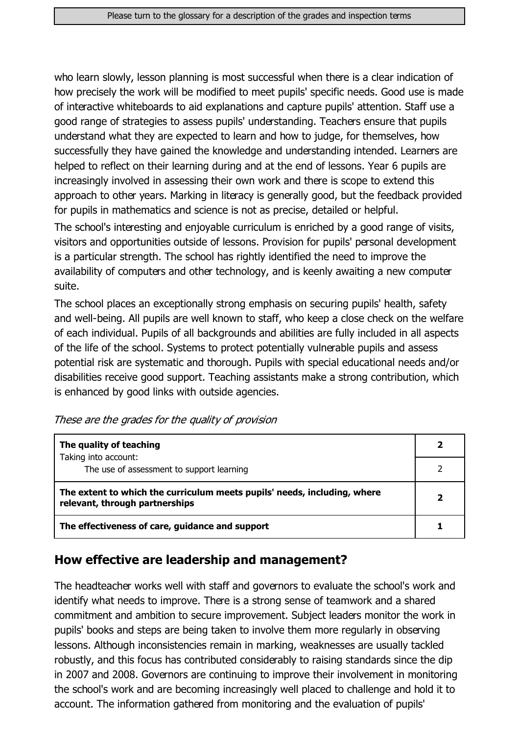who learn slowly, lesson planning is most successful when there is a clear indication of how precisely the work will be modified to meet pupils' specific needs. Good use is made of interactive whiteboards to aid explanations and capture pupils' attention. Staff use a good range of strategies to assess pupils' understanding. Teachers ensure that pupils understand what they are expected to learn and how to judge, for themselves, how successfully they have gained the knowledge and understanding intended. Learners are helped to reflect on their learning during and at the end of lessons. Year 6 pupils are increasingly involved in assessing their own work and there is scope to extend this approach to other years. Marking in literacy is generally good, but the feedback provided for pupils in mathematics and science is not as precise, detailed or helpful.

The school's interesting and enjoyable curriculum is enriched by a good range of visits, visitors and opportunities outside of lessons. Provision for pupils' personal development is a particular strength. The school has rightly identified the need to improve the availability of computers and other technology, and is keenly awaiting a new computer suite.

The school places an exceptionally strong emphasis on securing pupils' health, safety and well-being. All pupils are well known to staff, who keep a close check on the welfare of each individual. Pupils of all backgrounds and abilities are fully included in all aspects of the life of the school. Systems to protect potentially vulnerable pupils and assess potential risk are systematic and thorough. Pupils with special educational needs and/or disabilities receive good support. Teaching assistants make a strong contribution, which is enhanced by good links with outside agencies.

These are the grades for the quality of provision

| The quality of teaching                                                                                    |  |
|------------------------------------------------------------------------------------------------------------|--|
| Taking into account:<br>The use of assessment to support learning                                          |  |
|                                                                                                            |  |
| The extent to which the curriculum meets pupils' needs, including, where<br>relevant, through partnerships |  |
| The effectiveness of care, guidance and support                                                            |  |

#### How effective are leadership and management?

The headteacher works well with staff and governors to evaluate the school's work and identify what needs to improve. There is a strong sense of teamwork and a shared commitment and ambition to secure improvement. Subject leaders monitor the work in pupils' books and steps are being taken to involve them more regularly in observing lessons. Although inconsistencies remain in marking, weaknesses are usually tackled robustly, and this focus has contributed considerably to raising standards since the dip in 2007 and 2008. Governors are continuing to improve their involvement in monitoring the school's work and are becoming increasingly well placed to challenge and hold it to account. The information gathered from monitoring and the evaluation of pupils'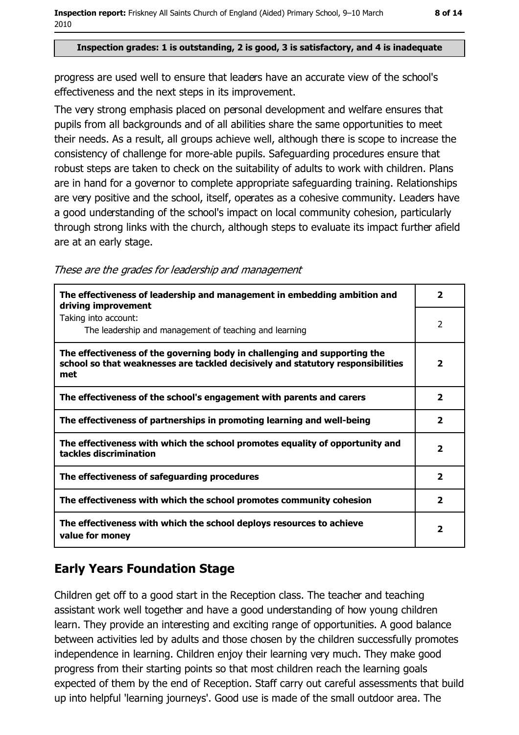Inspection report: Friskney All Saints Church of England (Aided) Primary School, 9-10 March 2010

#### Inspection grades: 1 is outstanding, 2 is good, 3 is satisfactory, and 4 is inadequate

progress are used well to ensure that leaders have an accurate view of the school's effectiveness and the next steps in its improvement.

The very strong emphasis placed on personal development and welfare ensures that pupils from all backgrounds and of all abilities share the same opportunities to meet their needs. As a result, all groups achieve well, although there is scope to increase the consistency of challenge for more-able pupils. Safeguarding procedures ensure that robust steps are taken to check on the suitability of adults to work with children. Plans are in hand for a governor to complete appropriate safeguarding training. Relationships are very positive and the school, itself, operates as a cohesive community. Leaders have a good understanding of the school's impact on local community cohesion, particularly through strong links with the church, although steps to evaluate its impact further afield are at an early stage.

|  |  | These are the grades for leadership and management |
|--|--|----------------------------------------------------|

| The effectiveness of leadership and management in embedding ambition and<br>driving improvement                                                                     | 2                        |
|---------------------------------------------------------------------------------------------------------------------------------------------------------------------|--------------------------|
| Taking into account:<br>The leadership and management of teaching and learning                                                                                      | $\overline{2}$           |
| The effectiveness of the governing body in challenging and supporting the<br>school so that weaknesses are tackled decisively and statutory responsibilities<br>met | $\overline{\phantom{a}}$ |
| The effectiveness of the school's engagement with parents and carers                                                                                                | $\overline{\mathbf{2}}$  |
| The effectiveness of partnerships in promoting learning and well-being                                                                                              | $\overline{2}$           |
| The effectiveness with which the school promotes equality of opportunity and<br>tackles discrimination                                                              | $\overline{\mathbf{2}}$  |
| The effectiveness of safeguarding procedures                                                                                                                        | $\mathbf{2}$             |
| The effectiveness with which the school promotes community cohesion                                                                                                 | $\overline{2}$           |
| The effectiveness with which the school deploys resources to achieve<br>value for money                                                                             | 2                        |

### **Early Years Foundation Stage**

Children get off to a good start in the Reception class. The teacher and teaching assistant work well together and have a good understanding of how young children learn. They provide an interesting and exciting range of opportunities. A good balance between activities led by adults and those chosen by the children successfully promotes independence in learning. Children enjoy their learning very much. They make good progress from their starting points so that most children reach the learning goals expected of them by the end of Reception. Staff carry out careful assessments that build up into helpful 'learning journeys'. Good use is made of the small outdoor area. The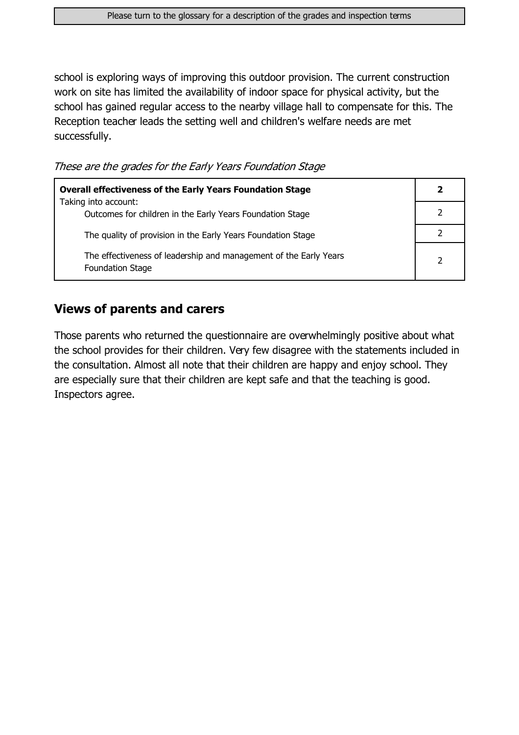school is exploring ways of improving this outdoor provision. The current construction work on site has limited the availability of indoor space for physical activity, but the school has gained regular access to the nearby village hall to compensate for this. The Reception teacher leads the setting well and children's welfare needs are met successfully.

These are the grades for the Early Years Foundation Stage

| <b>Overall effectiveness of the Early Years Foundation Stage</b>                             | 2 |
|----------------------------------------------------------------------------------------------|---|
| Taking into account:<br>Outcomes for children in the Early Years Foundation Stage            |   |
| The quality of provision in the Early Years Foundation Stage                                 |   |
| The effectiveness of leadership and management of the Early Years<br><b>Foundation Stage</b> |   |

#### **Views of parents and carers**

Those parents who returned the questionnaire are overwhelmingly positive about what the school provides for their children. Very few disagree with the statements included in the consultation. Almost all note that their children are happy and enjoy school. They are especially sure that their children are kept safe and that the teaching is good. Inspectors agree.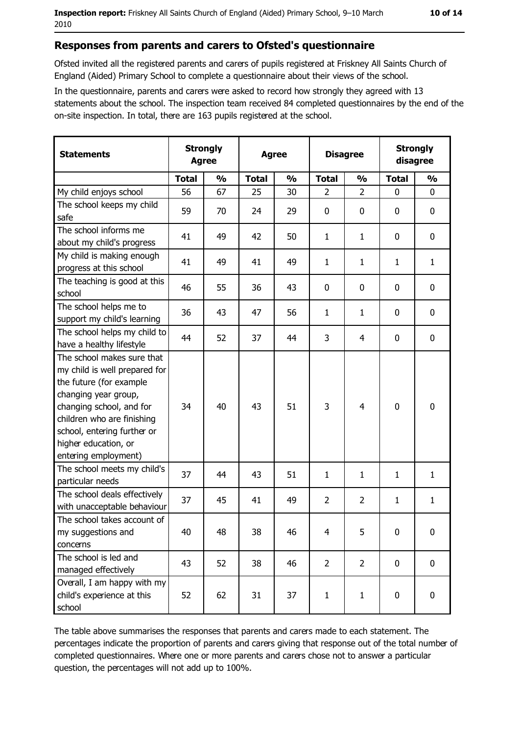#### Responses from parents and carers to Ofsted's questionnaire

Ofsted invited all the registered parents and carers of pupils registered at Friskney All Saints Church of England (Aided) Primary School to complete a questionnaire about their views of the school.

In the questionnaire, parents and carers were asked to record how strongly they agreed with 13 statements about the school. The inspection team received 84 completed questionnaires by the end of the on-site inspection. In total, there are 163 pupils registered at the school.

| <b>Statements</b>                                                                                                                                                                                                                                       |              | <b>Strongly</b><br><b>Strongly</b><br><b>Disagree</b><br><b>Agree</b><br>disagree<br><b>Agree</b> |              |               |                |                |              |                  |
|---------------------------------------------------------------------------------------------------------------------------------------------------------------------------------------------------------------------------------------------------------|--------------|---------------------------------------------------------------------------------------------------|--------------|---------------|----------------|----------------|--------------|------------------|
|                                                                                                                                                                                                                                                         | <b>Total</b> | $\frac{1}{2}$                                                                                     | <b>Total</b> | $\frac{0}{0}$ | <b>Total</b>   | $\frac{1}{2}$  | <b>Total</b> | $\frac{1}{2}$    |
| My child enjoys school                                                                                                                                                                                                                                  | 56           | 67                                                                                                | 25           | 30            | $\overline{2}$ | $\overline{2}$ | $\Omega$     | $\Omega$         |
| The school keeps my child<br>safe                                                                                                                                                                                                                       | 59           | 70                                                                                                | 24           | 29            | $\mathbf 0$    | 0              | 0            | 0                |
| The school informs me<br>about my child's progress                                                                                                                                                                                                      | 41           | 49                                                                                                | 42           | 50            | $\mathbf{1}$   | 1              | 0            | 0                |
| My child is making enough<br>progress at this school                                                                                                                                                                                                    | 41           | 49                                                                                                | 41           | 49            | $\mathbf{1}$   | $\mathbf{1}$   | 1            | $\mathbf{1}$     |
| The teaching is good at this<br>school                                                                                                                                                                                                                  | 46           | 55                                                                                                | 36           | 43            | $\mathbf 0$    | 0              | $\Omega$     | 0                |
| The school helps me to<br>support my child's learning                                                                                                                                                                                                   | 36           | 43                                                                                                | 47           | 56            | $\mathbf{1}$   | $\mathbf{1}$   | 0            | 0                |
| The school helps my child to<br>have a healthy lifestyle                                                                                                                                                                                                | 44           | 52                                                                                                | 37           | 44            | 3              | 4              | 0            | $\mathbf 0$      |
| The school makes sure that<br>my child is well prepared for<br>the future (for example<br>changing year group,<br>changing school, and for<br>children who are finishing<br>school, entering further or<br>higher education, or<br>entering employment) | 34           | 40                                                                                                | 43           | 51            | 3              | $\overline{4}$ | 0            | $\mathbf 0$      |
| The school meets my child's<br>particular needs                                                                                                                                                                                                         | 37           | 44                                                                                                | 43           | 51            | 1              | $\mathbf{1}$   | 1            | $\mathbf{1}$     |
| The school deals effectively<br>with unacceptable behaviour                                                                                                                                                                                             | 37           | 45                                                                                                | 41           | 49            | $\overline{2}$ | $\overline{2}$ | 1            | $\mathbf{1}$     |
| The school takes account of<br>my suggestions and<br>concerns                                                                                                                                                                                           | 40           | 48                                                                                                | 38           | 46            | 4              | 5              | 0            | $\boldsymbol{0}$ |
| The school is led and<br>managed effectively                                                                                                                                                                                                            | 43           | 52                                                                                                | 38           | 46            | $\overline{2}$ | $\overline{2}$ | 0            | $\mathbf 0$      |
| Overall, I am happy with my<br>child's experience at this<br>school                                                                                                                                                                                     | 52           | 62                                                                                                | 31           | 37            | $\mathbf{1}$   | $\mathbf{1}$   | 0            | 0                |

The table above summarises the responses that parents and carers made to each statement. The percentages indicate the proportion of parents and carers giving that response out of the total number of completed questionnaires. Where one or more parents and carers chose not to answer a particular question, the percentages will not add up to 100%.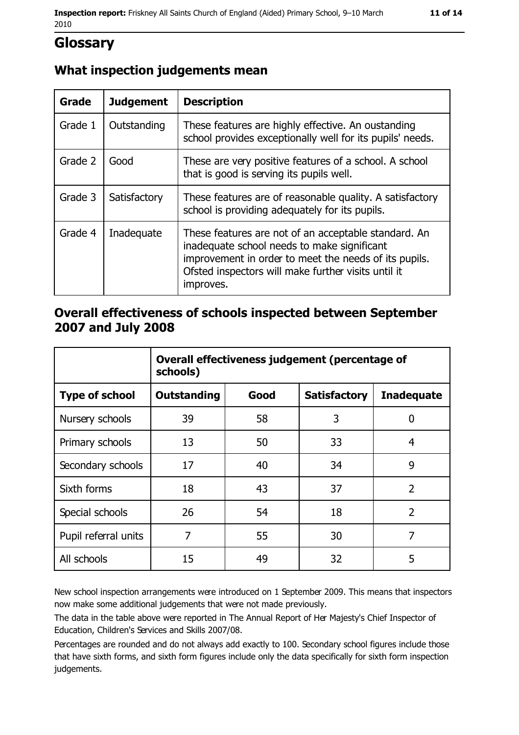## **Glossary**

#### What inspection judgements mean

| <b>Grade</b> | <b>Judgement</b> | <b>Description</b>                                                                                                                                                                                                               |
|--------------|------------------|----------------------------------------------------------------------------------------------------------------------------------------------------------------------------------------------------------------------------------|
| Grade 1      | Outstanding      | These features are highly effective. An oustanding<br>school provides exceptionally well for its pupils' needs.                                                                                                                  |
| Grade 2      | Good             | These are very positive features of a school. A school<br>that is good is serving its pupils well.                                                                                                                               |
| Grade 3      | Satisfactory     | These features are of reasonable quality. A satisfactory<br>school is providing adequately for its pupils.                                                                                                                       |
| Grade 4      | Inadequate       | These features are not of an acceptable standard. An<br>inadequate school needs to make significant<br>improvement in order to meet the needs of its pupils.<br>Ofsted inspectors will make further visits until it<br>improves. |

#### Overall effectiveness of schools inspected between September 2007 and July 2008

|                       | Overall effectiveness judgement (percentage of<br>schools) |      |                     |                   |  |
|-----------------------|------------------------------------------------------------|------|---------------------|-------------------|--|
| <b>Type of school</b> | Outstanding                                                | Good | <b>Satisfactory</b> | <b>Inadequate</b> |  |
| Nursery schools       | 39                                                         | 58   | 3                   | 0                 |  |
| Primary schools       | 13                                                         | 50   | 33                  | 4                 |  |
| Secondary schools     | 17                                                         | 40   | 34                  | 9                 |  |
| Sixth forms           | 18                                                         | 43   | 37                  | $\overline{2}$    |  |
| Special schools       | 26                                                         | 54   | 18                  | $\overline{2}$    |  |
| Pupil referral units  | 7                                                          | 55   | 30                  | 7                 |  |
| All schools           | 15                                                         | 49   | 32                  | 5                 |  |

New school inspection arrangements were introduced on 1 September 2009. This means that inspectors now make some additional judgements that were not made previously.

The data in the table above were reported in The Annual Report of Her Majesty's Chief Inspector of Education, Children's Services and Skills 2007/08.

Percentages are rounded and do not always add exactly to 100. Secondary school figures include those that have sixth forms, and sixth form figures include only the data specifically for sixth form inspection judgements.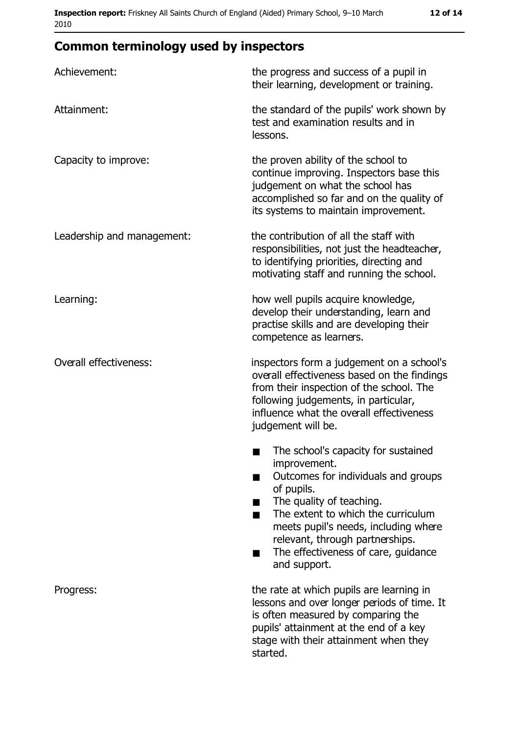| Achievement:                  | the progress and success of a pupil in<br>their learning, development or training.                                                                                                                                                                                                                           |
|-------------------------------|--------------------------------------------------------------------------------------------------------------------------------------------------------------------------------------------------------------------------------------------------------------------------------------------------------------|
| Attainment:                   | the standard of the pupils' work shown by<br>test and examination results and in<br>lessons.                                                                                                                                                                                                                 |
| Capacity to improve:          | the proven ability of the school to<br>continue improving. Inspectors base this<br>judgement on what the school has<br>accomplished so far and on the quality of<br>its systems to maintain improvement.                                                                                                     |
| Leadership and management:    | the contribution of all the staff with<br>responsibilities, not just the headteacher,<br>to identifying priorities, directing and<br>motivating staff and running the school.                                                                                                                                |
| Learning:                     | how well pupils acquire knowledge,<br>develop their understanding, learn and<br>practise skills and are developing their<br>competence as learners.                                                                                                                                                          |
| <b>Overall effectiveness:</b> | inspectors form a judgement on a school's<br>overall effectiveness based on the findings<br>from their inspection of the school. The<br>following judgements, in particular,<br>influence what the overall effectiveness<br>judgement will be.                                                               |
|                               | The school's capacity for sustained<br>improvement.<br>Outcomes for individuals and groups<br>of pupils.<br>The quality of teaching.<br>The extent to which the curriculum<br>meets pupil's needs, including where<br>relevant, through partnerships.<br>The effectiveness of care, guidance<br>and support. |
| Progress:                     | the rate at which pupils are learning in<br>lessons and over longer periods of time. It<br>is often measured by comparing the<br>pupils' attainment at the end of a key<br>stage with their attainment when they<br>started.                                                                                 |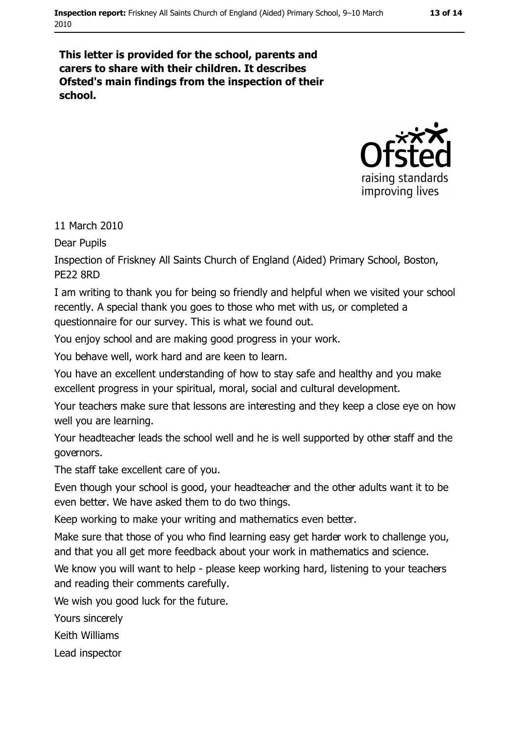#### 13 of 14

This letter is provided for the school, parents and carers to share with their children. It describes Ofsted's main findings from the inspection of their school.



11 March 2010

**Dear Pupils** 

Inspection of Friskney All Saints Church of England (Aided) Primary School, Boston, PF<sub>22</sub> 8RD

I am writing to thank you for being so friendly and helpful when we visited your school recently. A special thank you goes to those who met with us, or completed a questionnaire for our survey. This is what we found out.

You enjoy school and are making good progress in your work.

You behave well, work hard and are keen to learn.

You have an excellent understanding of how to stay safe and healthy and you make excellent progress in your spiritual, moral, social and cultural development.

Your teachers make sure that lessons are interesting and they keep a close eye on how well you are learning.

Your headteacher leads the school well and he is well supported by other staff and the governors.

The staff take excellent care of you.

Even though your school is good, your headteacher and the other adults want it to be even better. We have asked them to do two things.

Keep working to make your writing and mathematics even better.

Make sure that those of you who find learning easy get harder work to challenge you, and that you all get more feedback about your work in mathematics and science.

We know you will want to help - please keep working hard, listening to your teachers and reading their comments carefully.

We wish you good luck for the future.

Yours sincerely

Keith Williams

Lead inspector